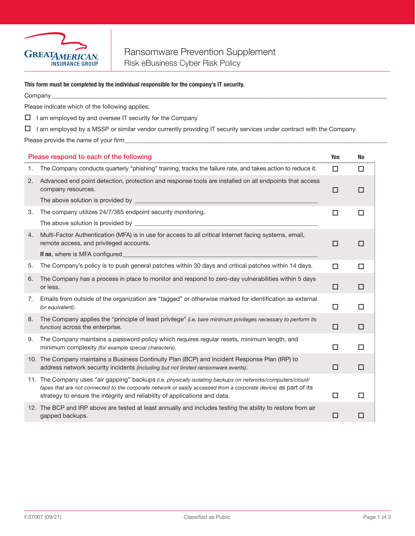

## This form must be completed by the individual responsible for the company's IT security.

|    | This form must be completed by the individual responsible for the company's IT security.                                                                                                                                                                                                                     |            |        |
|----|--------------------------------------------------------------------------------------------------------------------------------------------------------------------------------------------------------------------------------------------------------------------------------------------------------------|------------|--------|
|    |                                                                                                                                                                                                                                                                                                              |            |        |
|    | Please indicate which of the following applies:                                                                                                                                                                                                                                                              |            |        |
|    | $\Box$ I am employed by and oversee IT security for the Company                                                                                                                                                                                                                                              |            |        |
| ш. | I am employed by a MSSP or similar vendor currently providing IT security services under contract with the Company.                                                                                                                                                                                          |            |        |
|    |                                                                                                                                                                                                                                                                                                              |            |        |
|    | Please respond to each of the following                                                                                                                                                                                                                                                                      | <b>Yes</b> | No     |
| 1. | The Company conducts quarterly "phishing" training, tracks the failure rate, and takes action to reduce it.                                                                                                                                                                                                  | □          | $\Box$ |
| 2. | Advanced end point detection, protection and response tools are installed on all endpoints that access<br>company resources.                                                                                                                                                                                 | $\Box$     | $\Box$ |
|    | The above solution is provided by _____________                                                                                                                                                                                                                                                              |            |        |
| 3. | The company utilizes 24/7/365 endpoint security monitoring.                                                                                                                                                                                                                                                  | $\Box$     | $\Box$ |
|    | The above solution is provided by example above solution is provided by                                                                                                                                                                                                                                      |            |        |
| 4. | Multi-Factor Authentication (MFA) is in use for access to all critical Internet facing systems, email,<br>remote access, and privileged accounts.                                                                                                                                                            | □          | □      |
|    | If no, where is MFA configured                                                                                                                                                                                                                                                                               |            |        |
| 5. | The Company's policy is to push general patches within 30 days and critical patches within 14 days.                                                                                                                                                                                                          | □          | $\Box$ |
| 6. | The Company has a process in place to monitor and respond to zero-day vulnerabilities within 5 days<br>or less.                                                                                                                                                                                              | $\Box$     | $\Box$ |
| 7. | Emails from outside of the organization are "tagged" or otherwise marked for identification as external<br>(or equivalent).                                                                                                                                                                                  | □          | □      |
| 8. | The Company applies the "principle of least privilege" (i.e. bare minimum privileges necessary to perform its<br>function) across the enterprise.                                                                                                                                                            | $\Box$     | $\Box$ |
| 9. | The Company maintains a password policy which requires regular resets, minimum length, and<br>minimum complexity (for example special characters).                                                                                                                                                           | □          | □      |
|    | 10. The Company maintains a Business Continuity Plan (BCP) and Incident Response Plan (IRP) to<br>address network security incidents (including but not limited ransomware events).                                                                                                                          | $\Box$     | $\Box$ |
|    | 11. The Company uses "air gapping" backups (i.e. physically isolating backups on networks/computers/cloud/<br>tapes that are not connected to the corporate network or easily accessed from a corporate device) as part of its<br>strategy to ensure the integrity and reliability of applications and data. | □          | □      |

12. The BCP and IRP above are tested at least annually and includes testing the ability to restore from air gapped backups.  $\Box$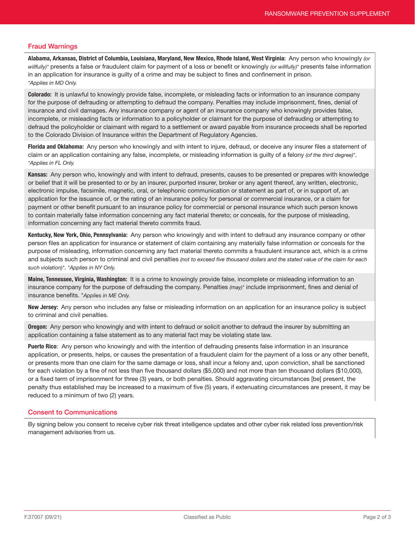## Fraud Warnings

Alabama, Arkansas, District of Columbia, Louisiana, Maryland, New Mexico, Rhode Island, West Virginia: Any person who knowingly *(or willfully)\** presents a false or fraudulent claim for payment of a loss or benefit or knowingly *(or willfully)\** presents false information in an application for insurance is guilty of a crime and may be subject to fines and confinement in prison. *\*Applies in MD Only.*

Colorado: It is unlawful to knowingly provide false, incomplete, or misleading facts or information to an insurance company for the purpose of defrauding or attempting to defraud the company. Penalties may include imprisonment, fines, denial of insurance and civil damages. Any insurance company or agent of an insurance company who knowingly provides false, incomplete, or misleading facts or information to a policyholder or claimant for the purpose of defrauding or attempting to defraud the policyholder or claimant with regard to a settlement or award payable from insurance proceeds shall be reported to the Colorado Division of Insurance within the Department of Regulatory Agencies.

Florida and Oklahoma: Any person who knowingly and with intent to injure, defraud, or deceive any insurer files a statement of claim or an application containing any false, incomplete, or misleading information is guilty of a felony *(of the third degree)\**. *\*Applies in FL Only.*

Kansas: Any person who, knowingly and with intent to defraud, presents, causes to be presented or prepares with knowledge or belief that it will be presented to or by an insurer, purported insurer, broker or any agent thereof, any written, electronic, electronic impulse, facsimile, magnetic, oral, or telephonic communication or statement as part of, or in support of, an application for the issuance of, or the rating of an insurance policy for personal or commercial insurance, or a claim for payment or other benefit pursuant to an insurance policy for commercial or personal insurance which such person knows to contain materially false information concerning any fact material thereto; or conceals, for the purpose of misleading, information concerning any fact material thereto commits fraud.

Kentucky, New York, Ohio, Pennsylvania: Any person who knowingly and with intent to defraud any insurance company or other person files an application for insurance or statement of claim containing any materially false information or conceals for the purpose of misleading, information concerning any fact material thereto commits a fraudulent insurance act, which is a crime and subjects such person to criminal and civil penalties *(not to exceed five thousand dollars and the stated value of the claim for each such violation)\**. *\*Applies in NY Only.*

Maine, Tennessee, Virginia, Washington: It is a crime to knowingly provide false, incomplete or misleading information to an insurance company for the purpose of defrauding the company. Penalties *(may)\** include imprisonment, fines and denial of insurance benefits. \**Applies in ME Only.*

New Jersey: Any person who includes any false or misleading information on an application for an insurance policy is subject to criminal and civil penalties.

**Oregon:** Any person who knowingly and with intent to defraud or solicit another to defraud the insurer by submitting an application containing a false statement as to any material fact may be violating state law.

Puerto Rico: Any person who knowingly and with the intention of defrauding presents false information in an insurance application, or presents, helps, or causes the presentation of a fraudulent claim for the payment of a loss or any other benefit, or presents more than one claim for the same damage or loss, shall incur a felony and, upon conviction, shall be sanctioned for each violation by a fine of not less than five thousand dollars (\$5,000) and not more than ten thousand dollars (\$10,000), or a fixed term of imprisonment for three (3) years, or both penalties. Should aggravating circumstances [be] present, the penalty thus established may be increased to a maximum of five (5) years, if extenuating circumstances are present, it may be reduced to a minimum of two (2) years.

## Consent to Communications

By signing below you consent to receive cyber risk threat intelligence updates and other cyber risk related loss prevention/risk management advisories from us.